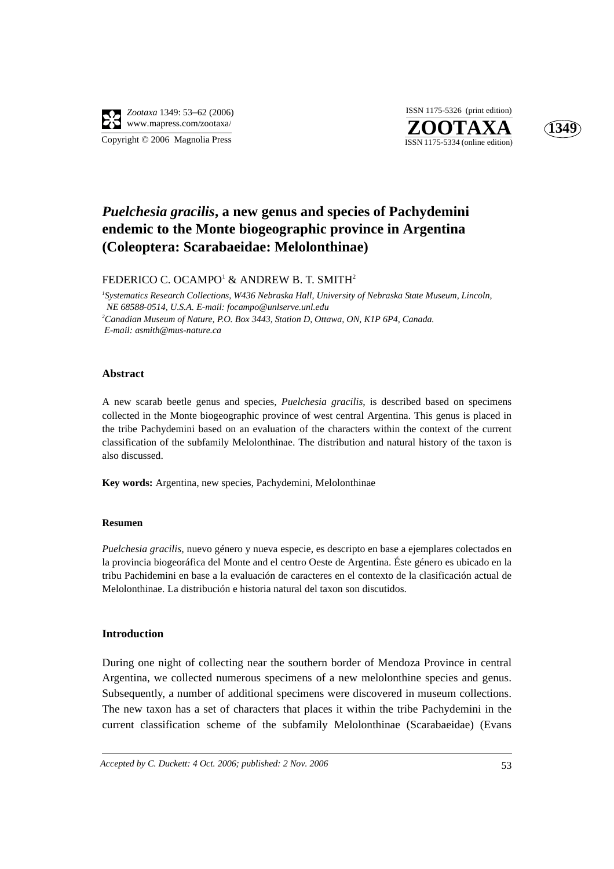

**ZOOTAXA**<br>ISSN 1175-5334 (online edition) ISSN 1175-5326 (print edition)



## *Puelchesia gracilis***, a new genus and species of Pachydemini endemic to the Monte biogeographic province in Argentina (Coleoptera: Scarabaeidae: Melolonthinae)**

FEDERICO C. OCAMPO $^{\rm l}$  & ANDREW B. T. SMITH $^{\rm 2}$ 

*1 Systematics Research Collections, W436 Nebraska Hall, University of Nebraska State Museum, Lincoln, NE 68588-0514, U.S.A. E-mail: focampo@unlserve.unl.edu* <sup>2</sup> Canadian Museum of Nature, P.O. Box 3443, Station D, Ottawa, ON, K1P 6P4, Canada.  *E-mail: asmith@mus-nature.ca*

#### **Abstract**

A new scarab beetle genus and species, *Puelchesia gracilis*, is described based on specimens collected in the Monte biogeographic province of west central Argentina. This genus is placed in the tribe Pachydemini based on an evaluation of the characters within the context of the current classification of the subfamily Melolonthinae. The distribution and natural history of the taxon is also discussed.

**Key words:** Argentina, new species, Pachydemini, Melolonthinae

#### **Resumen**

*Puelchesia gracilis,* nuevo género y nueva especie, es descripto en base a ejemplares colectados en la provincia biogeoráfica del Monte and el centro Oeste de Argentina. Éste género es ubicado en la tribu Pachidemini en base a la evaluación de caracteres en el contexto de la clasificación actual de Melolonthinae. La distribución e historia natural del taxon son discutidos.

#### **Introduction**

During one night of collecting near the southern border of Mendoza Province in central Argentina, we collected numerous specimens of a new melolonthine species and genus. Subsequently, a number of additional specimens were discovered in museum collections. The new taxon has a set of characters that places it within the tribe Pachydemini in the current classification scheme of the subfamily Melolonthinae (Scarabaeidae) (Evans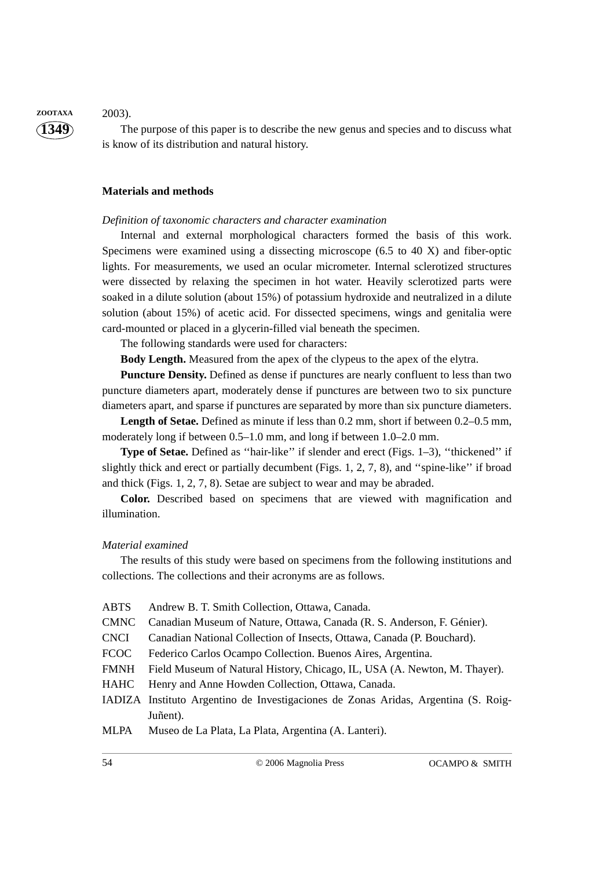**1349 ZOOTAXA** 2003).

The purpose of this paper is to describe the new genus and species and to discuss what is know of its distribution and natural history.

#### **Materials and methods**

#### *Definition of taxonomic characters and character examination*

Internal and external morphological characters formed the basis of this work. Specimens were examined using a dissecting microscope (6.5 to 40 X) and fiber-optic lights. For measurements, we used an ocular micrometer. Internal sclerotized structures were dissected by relaxing the specimen in hot water. Heavily sclerotized parts were soaked in a dilute solution (about 15%) of potassium hydroxide and neutralized in a dilute solution (about 15%) of acetic acid. For dissected specimens, wings and genitalia were card-mounted or placed in a glycerin-filled vial beneath the specimen.

The following standards were used for characters:

**Body Length.** Measured from the apex of the clypeus to the apex of the elytra.

**Puncture Density.** Defined as dense if punctures are nearly confluent to less than two puncture diameters apart, moderately dense if punctures are between two to six puncture diameters apart, and sparse if punctures are separated by more than six puncture diameters.

**Length of Setae.** Defined as minute if less than 0.2 mm, short if between 0.2–0.5 mm, moderately long if between 0.5–1.0 mm, and long if between 1.0–2.0 mm.

**Type of Setae.** Defined as ''hair-like'' if slender and erect (Figs. 1–3), ''thickened'' if slightly thick and erect or partially decumbent (Figs. 1, 2, 7, 8), and ''spine-like'' if broad and thick (Figs. 1, 2, 7, 8). Setae are subject to wear and may be abraded.

**Color.** Described based on specimens that are viewed with magnification and illumination.

#### *Material examined*

The results of this study were based on specimens from the following institutions and collections. The collections and their acronyms are as follows.

ABTS Andrew B. T. Smith Collection, Ottawa, Canada. CMNC Canadian Museum of Nature, Ottawa, Canada (R. S. Anderson, F. Génier). CNCI Canadian National Collection of Insects, Ottawa, Canada (P. Bouchard). FCOC Federico Carlos Ocampo Collection. Buenos Aires, Argentina. FMNH Field Museum of Natural History, Chicago, IL, USA (A. Newton, M. Thayer). HAHC Henry and Anne Howden Collection, Ottawa, Canada. IADIZA Instituto Argentino de Investigaciones de Zonas Aridas, Argentina (S. Roig-Juñent). MLPA Museo de La Plata, La Plata, Argentina (A. Lanteri).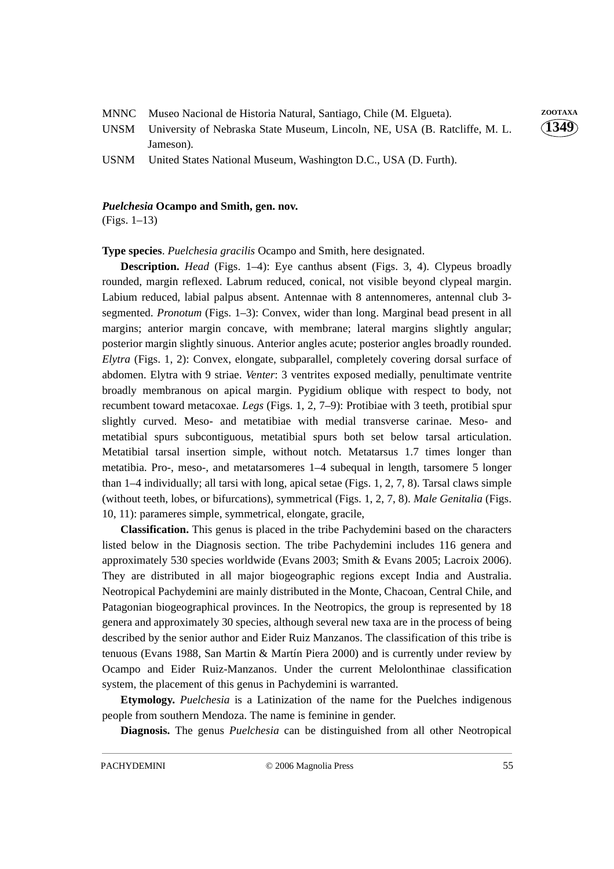| MNNC Museo Nacional de Historia Natural, Santiago, Chile (M. Elgueta). | ZOOTAXA |
|------------------------------------------------------------------------|---------|
|                                                                        |         |

UNSM University of Nebraska State Museum, Lincoln, NE, USA (B. Ratcliffe, M. L. Jameson).

USNM United States National Museum, Washington D.C., USA (D. Furth).

#### *Puelchesia* **Ocampo and Smith, gen. nov.**

(Figs. 1–13)

**Type species**. *Puelchesia gracilis* Ocampo and Smith, here designated.

**Description.** *Head* (Figs. 1–4): Eye canthus absent (Figs. 3, 4). Clypeus broadly rounded, margin reflexed. Labrum reduced, conical, not visible beyond clypeal margin. Labium reduced, labial palpus absent. Antennae with 8 antennomeres, antennal club 3 segmented. *Pronotum* (Figs. 1–3): Convex, wider than long. Marginal bead present in all margins; anterior margin concave, with membrane; lateral margins slightly angular; posterior margin slightly sinuous. Anterior angles acute; posterior angles broadly rounded. *Elytra* (Figs. 1, 2): Convex, elongate, subparallel, completely covering dorsal surface of abdomen. Elytra with 9 striae. *Venter*: 3 ventrites exposed medially, penultimate ventrite broadly membranous on apical margin. Pygidium oblique with respect to body, not recumbent toward metacoxae. *Legs* (Figs. 1, 2, 7–9): Protibiae with 3 teeth, protibial spur slightly curved. Meso- and metatibiae with medial transverse carinae. Meso- and metatibial spurs subcontiguous, metatibial spurs both set below tarsal articulation. Metatibial tarsal insertion simple, without notch. Metatarsus 1.7 times longer than metatibia. Pro-, meso-, and metatarsomeres 1–4 subequal in length, tarsomere 5 longer than 1–4 individually; all tarsi with long, apical setae (Figs. 1, 2, 7, 8). Tarsal claws simple (without teeth, lobes, or bifurcations), symmetrical (Figs. 1, 2, 7, 8). *Male Genitalia* (Figs. 10, 11): parameres simple, symmetrical, elongate, gracile,

**Classification.** This genus is placed in the tribe Pachydemini based on the characters listed below in the Diagnosis section. The tribe Pachydemini includes 116 genera and approximately 530 species worldwide (Evans 2003; Smith & Evans 2005; Lacroix 2006). They are distributed in all major biogeographic regions except India and Australia. Neotropical Pachydemini are mainly distributed in the Monte, Chacoan, Central Chile, and Patagonian biogeographical provinces. In the Neotropics, the group is represented by 18 genera and approximately 30 species, although several new taxa are in the process of being described by the senior author and Eider Ruiz Manzanos. The classification of this tribe is tenuous (Evans 1988, San Martin & Martín Piera 2000) and is currently under review by Ocampo and Eider Ruiz-Manzanos. Under the current Melolonthinae classification system, the placement of this genus in Pachydemini is warranted.

**Etymology.** *Puelchesia* is a Latinization of the name for the Puelches indigenous people from southern Mendoza. The name is feminine in gender.

**Diagnosis.** The genus *Puelchesia* can be distinguished from all other Neotropical

**1349**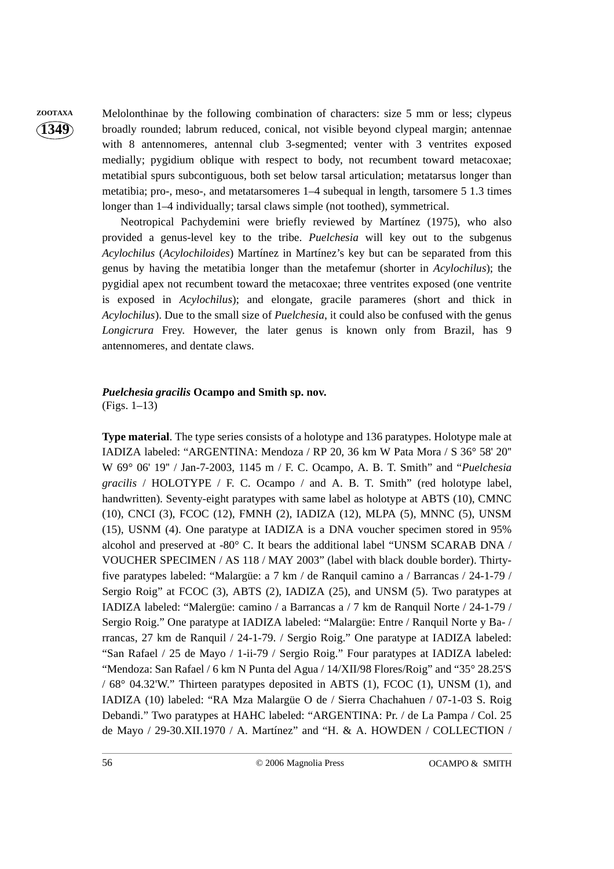# **1349**

**ZOOTAXA** Melolonthinae by the following combination of characters: size 5 mm or less; clypeus broadly rounded; labrum reduced, conical, not visible beyond clypeal margin; antennae with 8 antennomeres, antennal club 3-segmented; venter with 3 ventrites exposed medially; pygidium oblique with respect to body, not recumbent toward metacoxae; metatibial spurs subcontiguous, both set below tarsal articulation; metatarsus longer than metatibia; pro-, meso-, and metatarsomeres 1–4 subequal in length, tarsomere 5 1.3 times longer than 1–4 individually; tarsal claws simple (not toothed), symmetrical.

> Neotropical Pachydemini were briefly reviewed by Martínez (1975), who also provided a genus-level key to the tribe. *Puelchesia* will key out to the subgenus *Acylochilus* (*Acylochiloides*) Martínez in Martínez's key but can be separated from this genus by having the metatibia longer than the metafemur (shorter in *Acylochilus*); the pygidial apex not recumbent toward the metacoxae; three ventrites exposed (one ventrite is exposed in *Acylochilus*); and elongate, gracile parameres (short and thick in *Acylochilus*). Due to the small size of *Puelchesia*, it could also be confused with the genus *Longicrura* Frey. However, the later genus is known only from Brazil, has 9 antennomeres, and dentate claws.

### *Puelchesia gracilis* **Ocampo and Smith sp. nov.**

(Figs. 1–13)

**Type material**. The type series consists of a holotype and 136 paratypes. Holotype male at IADIZA labeled: "ARGENTINA: Mendoza / RP 20, 36 km W Pata Mora / S 36° 58' 20'' W 69° 06' 19'' / Jan-7-2003, 1145 m / F. C. Ocampo, A. B. T. Smith" and "*Puelchesia gracilis* / HOLOTYPE / F. C. Ocampo / and A. B. T. Smith" (red holotype label, handwritten). Seventy-eight paratypes with same label as holotype at ABTS (10), CMNC (10), CNCI (3), FCOC (12), FMNH (2), IADIZA (12), MLPA (5), MNNC (5), UNSM (15), USNM (4). One paratype at IADIZA is a DNA voucher specimen stored in 95% alcohol and preserved at -80° C. It bears the additional label "UNSM SCARAB DNA / VOUCHER SPECIMEN / AS 118 / MAY 2003" (label with black double border). Thirtyfive paratypes labeled: "Malargüe: a 7 km / de Ranquil camino a / Barrancas / 24-1-79 / Sergio Roig" at FCOC (3), ABTS (2), IADIZA (25), and UNSM (5). Two paratypes at IADIZA labeled: "Malergüe: camino / a Barrancas a / 7 km de Ranquil Norte / 24-1-79 / Sergio Roig." One paratype at IADIZA labeled: "Malargüe: Entre / Ranquil Norte y Ba- / rrancas, 27 km de Ranquil / 24-1-79. / Sergio Roig." One paratype at IADIZA labeled: "San Rafael / 25 de Mayo / 1-ii-79 / Sergio Roig." Four paratypes at IADIZA labeled: "Mendoza: San Rafael / 6 km N Punta del Agua / 14/XII/98 Flores/Roig" and "35° 28.25'S / 68° 04.32'W." Thirteen paratypes deposited in ABTS (1), FCOC (1), UNSM (1), and IADIZA (10) labeled: "RA Mza Malargüe O de / Sierra Chachahuen / 07-1-03 S. Roig Debandi." Two paratypes at HAHC labeled: "ARGENTINA: Pr. / de La Pampa / Col. 25 de Mayo / 29-30.XII.1970 / A. Martínez" and "H. & A. HOWDEN / COLLECTION /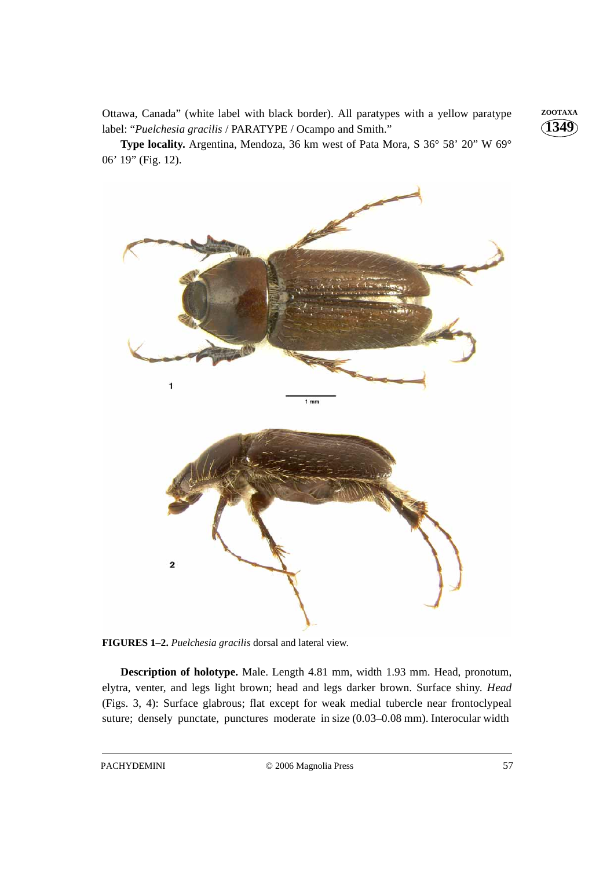Ottawa, Canada" (white label with black border). All paratypes with a yellow paratype **ZOOTAXA** label: "*Puelchesia gracilis* / PARATYPE / Ocampo and Smith."

**Type locality.** Argentina, Mendoza, 36 km west of Pata Mora, S 36° 58' 20" W 69° 06' 19" (Fig. 12).



**FIGURES 1–2.** *Puelchesia gracilis* dorsal and lateral view.

**Description of holotype.** Male. Length 4.81 mm, width 1.93 mm. Head, pronotum, elytra, venter, and legs light brown; head and legs darker brown. Surface shiny. *Head* (Figs. 3, 4): Surface glabrous; flat except for weak medial tubercle near frontoclypeal suture; densely punctate, punctures moderate in size (0.03–0.08 mm). Interocular width

**1349**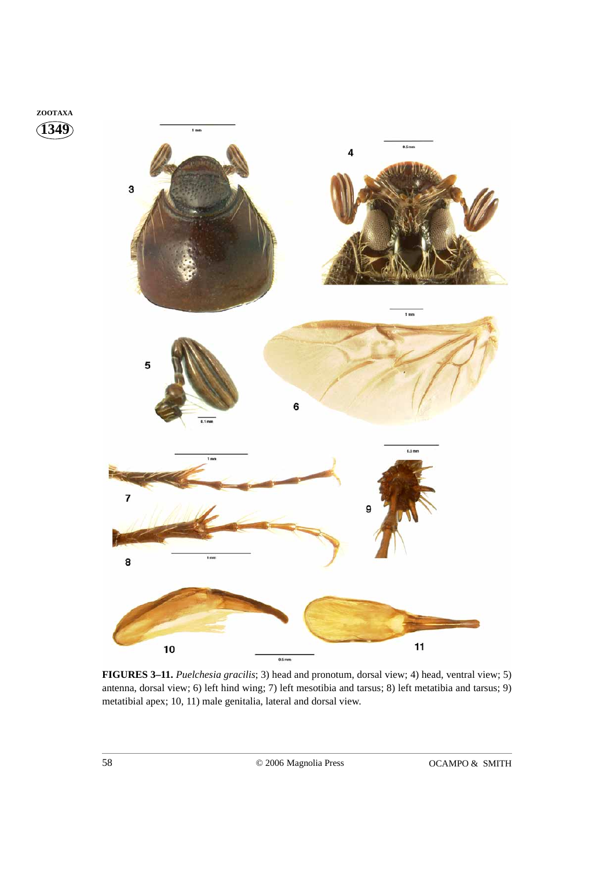

**FIGURES 3–11.** *Puelchesia gracilis*; 3) head and pronotum, dorsal view; 4) head, ventral view; 5) antenna, dorsal view; 6) left hind wing; 7) left mesotibia and tarsus; 8) left metatibia and tarsus; 9) metatibial apex; 10, 11) male genitalia, lateral and dorsal view.

**1349 ZOOTAXA**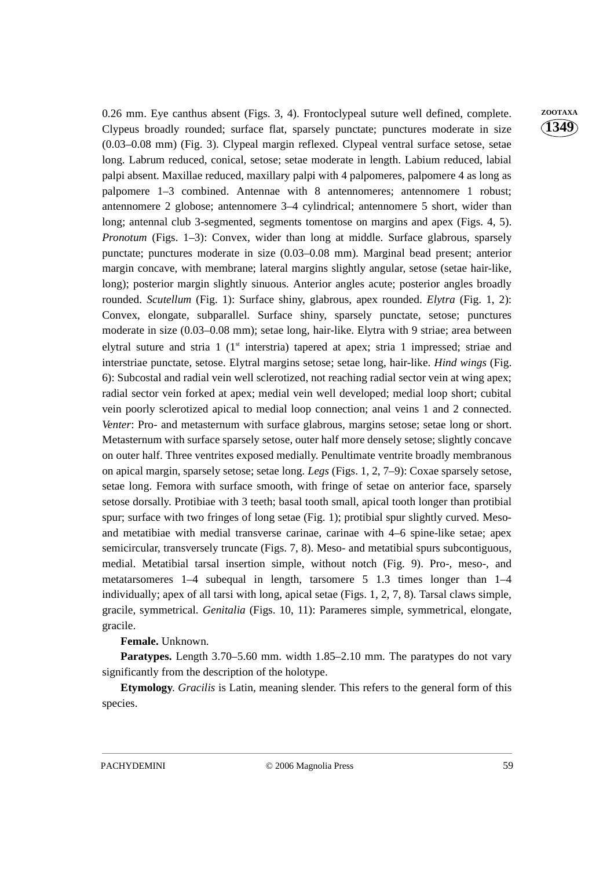0.26 mm. Eye canthus absent (Figs. 3, 4). Frontoclypeal suture well defined, complete. **ZOOTAXA** Clypeus broadly rounded; surface flat, sparsely punctate; punctures moderate in size (0.03–0.08 mm) (Fig. 3). Clypeal margin reflexed. Clypeal ventral surface setose, setae long. Labrum reduced, conical, setose; setae moderate in length. Labium reduced, labial palpi absent. Maxillae reduced, maxillary palpi with 4 palpomeres, palpomere 4 as long as palpomere 1–3 combined. Antennae with 8 antennomeres; antennomere 1 robust; antennomere 2 globose; antennomere 3–4 cylindrical; antennomere 5 short, wider than long; antennal club 3-segmented, segments tomentose on margins and apex (Figs. 4, 5). *Pronotum* (Figs. 1–3): Convex, wider than long at middle. Surface glabrous, sparsely punctate; punctures moderate in size (0.03–0.08 mm). Marginal bead present; anterior margin concave, with membrane; lateral margins slightly angular, setose (setae hair-like, long); posterior margin slightly sinuous. Anterior angles acute; posterior angles broadly rounded. *Scutellum* (Fig. 1): Surface shiny, glabrous, apex rounded. *Elytra* (Fig. 1, 2): Convex, elongate, subparallel. Surface shiny, sparsely punctate, setose; punctures moderate in size (0.03–0.08 mm); setae long, hair-like. Elytra with 9 striae; area between elytral suture and stria 1 ( $1<sup>st</sup>$  interstria) tapered at apex; stria 1 impressed; striae and interstriae punctate, setose. Elytral margins setose; setae long, hair-like. *Hind wings* (Fig. 6): Subcostal and radial vein well sclerotized, not reaching radial sector vein at wing apex; radial sector vein forked at apex; medial vein well developed; medial loop short; cubital vein poorly sclerotized apical to medial loop connection; anal veins 1 and 2 connected. *Venter*: Pro- and metasternum with surface glabrous, margins setose; setae long or short. Metasternum with surface sparsely setose, outer half more densely setose; slightly concave on outer half. Three ventrites exposed medially. Penultimate ventrite broadly membranous on apical margin, sparsely setose; setae long. *Legs* (Figs. 1, 2, 7–9): Coxae sparsely setose, setae long. Femora with surface smooth, with fringe of setae on anterior face, sparsely setose dorsally. Protibiae with 3 teeth; basal tooth small, apical tooth longer than protibial spur; surface with two fringes of long setae (Fig. 1); protibial spur slightly curved. Mesoand metatibiae with medial transverse carinae, carinae with 4–6 spine-like setae; apex semicircular, transversely truncate (Figs. 7, 8). Meso- and metatibial spurs subcontiguous, medial. Metatibial tarsal insertion simple, without notch (Fig. 9). Pro-, meso-, and metatarsomeres 1–4 subequal in length, tarsomere 5 1.3 times longer than 1–4 individually; apex of all tarsi with long, apical setae (Figs. 1, 2, 7, 8). Tarsal claws simple, gracile, symmetrical. *Genitalia* (Figs. 10, 11): Parameres simple, symmetrical, elongate, gracile.

**Female.** Unknown.

**Paratypes.** Length 3.70–5.60 mm. width 1.85–2.10 mm. The paratypes do not vary significantly from the description of the holotype.

**Etymology**. *Gracilis* is Latin, meaning slender. This refers to the general form of this species.

**1349**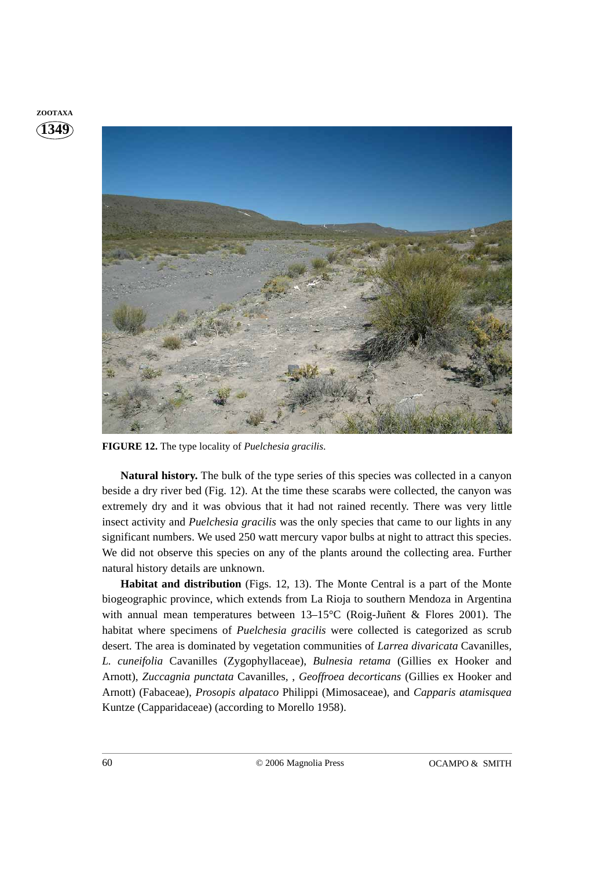



**FIGURE 12.** The type locality of *Puelchesia gracilis*.

**Natural history.** The bulk of the type series of this species was collected in a canyon beside a dry river bed (Fig. 12). At the time these scarabs were collected, the canyon was extremely dry and it was obvious that it had not rained recently. There was very little insect activity and *Puelchesia gracilis* was the only species that came to our lights in any significant numbers. We used 250 watt mercury vapor bulbs at night to attract this species. We did not observe this species on any of the plants around the collecting area. Further natural history details are unknown.

**Habitat and distribution** (Figs. 12, 13). The Monte Central is a part of the Monte biogeographic province, which extends from La Rioja to southern Mendoza in Argentina with annual mean temperatures between 13–15°C (Roig-Juñent & Flores 2001). The habitat where specimens of *Puelchesia gracilis* were collected is categorized as scrub desert. The area is dominated by vegetation communities of *Larrea divaricata* Cavanilles*, L. cuneifolia* Cavanilles (Zygophyllaceae), *Bulnesia retama* (Gillies ex Hooker and Arnott), *Zuccagnia punctata* Cavanilles*,* , *Geoffroea decorticans* (Gillies ex Hooker and Arnott) (Fabaceae), *Prosopis alpataco* Philippi (Mimosaceae), and *Capparis atamisquea* Kuntze (Capparidaceae) (according to Morello 1958).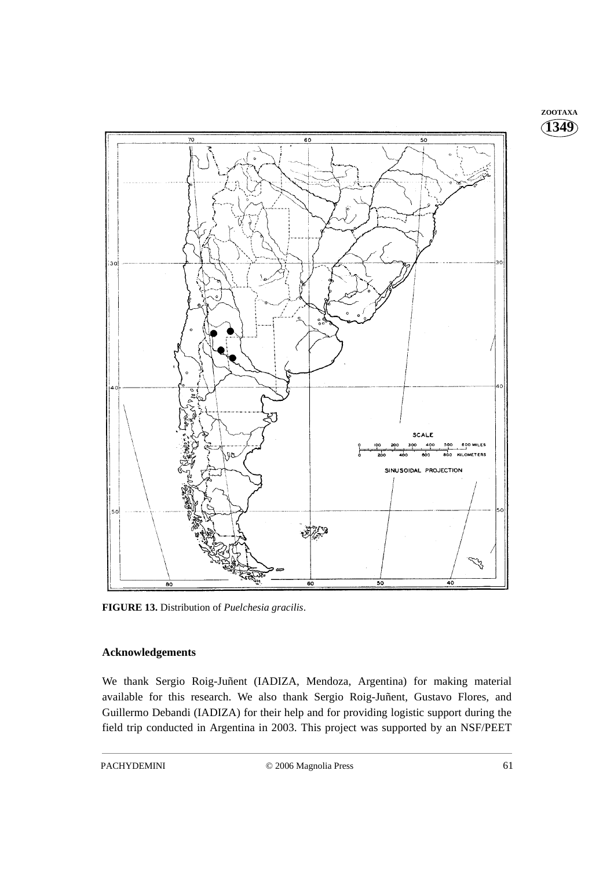

**FIGURE 13.** Distribution of *Puelchesia gracilis*.

#### **Acknowledgements**

We thank Sergio Roig-Juñent (IADIZA, Mendoza, Argentina) for making material available for this research. We also thank Sergio Roig-Juñent, Gustavo Flores, and Guillermo Debandi (IADIZA) for their help and for providing logistic support during the field trip conducted in Argentina in 2003. This project was supported by an NSF/PEET **1349 ZOOTAXA**